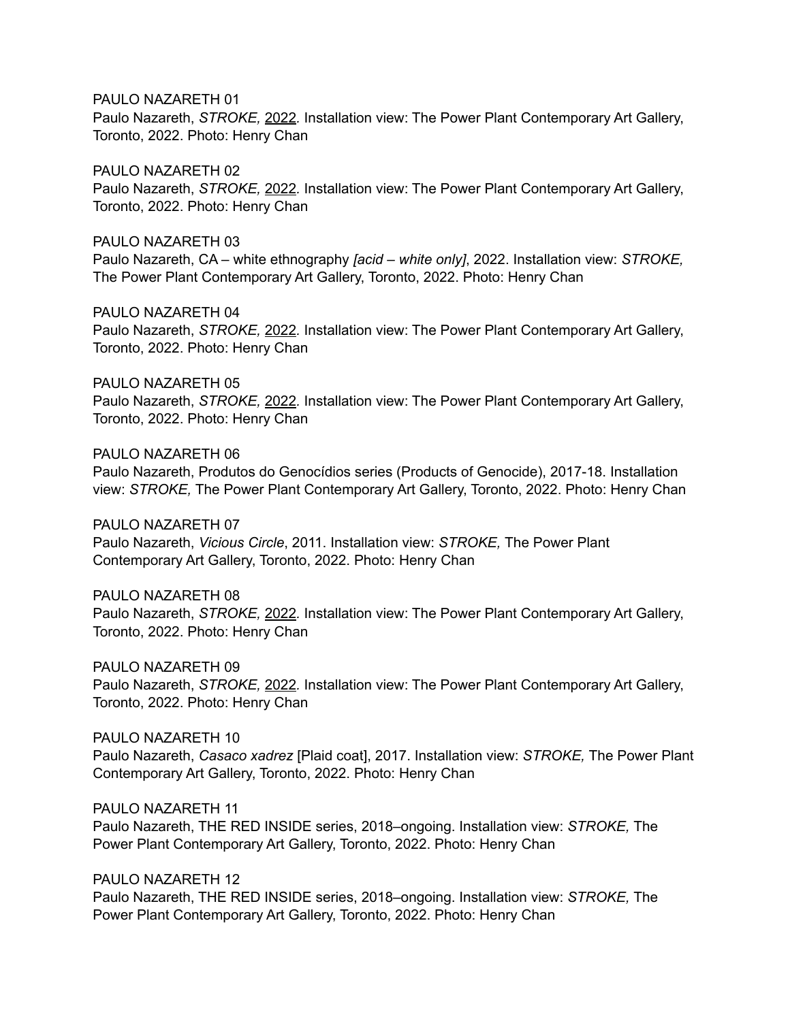PAULO NAZARETH 01

Paulo Nazareth, *STROKE,* 2022*.* Installation view: The Power Plant Contemporary Art Gallery, Toronto, 2022. Photo: Henry Chan

PAULO NAZARETH 02 Paulo Nazareth, *STROKE,* 2022*.* Installation view: The Power Plant Contemporary Art Gallery, Toronto, 2022. Photo: Henry Chan

PAULO NAZARETH 03 Paulo Nazareth, CA – white ethnography *[acid – white only]*, 2022. Installation view: *STROKE,*  The Power Plant Contemporary Art Gallery, Toronto, 2022. Photo: Henry Chan

PAULO NAZARETH 04 Paulo Nazareth, *STROKE,* 2022*.* Installation view: The Power Plant Contemporary Art Gallery, Toronto, 2022. Photo: Henry Chan

PAULO NAZARETH 05 Paulo Nazareth, *STROKE,* 2022*.* Installation view: The Power Plant Contemporary Art Gallery, Toronto, 2022. Photo: Henry Chan

PAULO NAZARETH 06

Paulo Nazareth, Produtos do Genocídios series (Products of Genocide), 2017-18. Installation view: *STROKE,* The Power Plant Contemporary Art Gallery, Toronto, 2022. Photo: Henry Chan

PAULO NAZARETH 07

Paulo Nazareth, *Vicious Circle*, 2011. Installation view: *STROKE,* The Power Plant Contemporary Art Gallery, Toronto, 2022. Photo: Henry Chan

PAULO NAZARETH 08 Paulo Nazareth, *STROKE,* 2022*.* Installation view: The Power Plant Contemporary Art Gallery, Toronto, 2022. Photo: Henry Chan

PAULO NAZARETH 09 Paulo Nazareth, *STROKE,* 2022*.* Installation view: The Power Plant Contemporary Art Gallery, Toronto, 2022. Photo: Henry Chan

PAULO NAZARETH 10 Paulo Nazareth, *Casaco xadrez* [Plaid coat], 2017. Installation view: *STROKE,* The Power Plant Contemporary Art Gallery, Toronto, 2022. Photo: Henry Chan

PAULO NAZARETH 11 Paulo Nazareth, THE RED INSIDE series, 2018–ongoing. Installation view: *STROKE,* The Power Plant Contemporary Art Gallery, Toronto, 2022. Photo: Henry Chan

PAULO NAZARETH 12 Paulo Nazareth, THE RED INSIDE series, 2018–ongoing. Installation view: *STROKE,* The Power Plant Contemporary Art Gallery, Toronto, 2022. Photo: Henry Chan